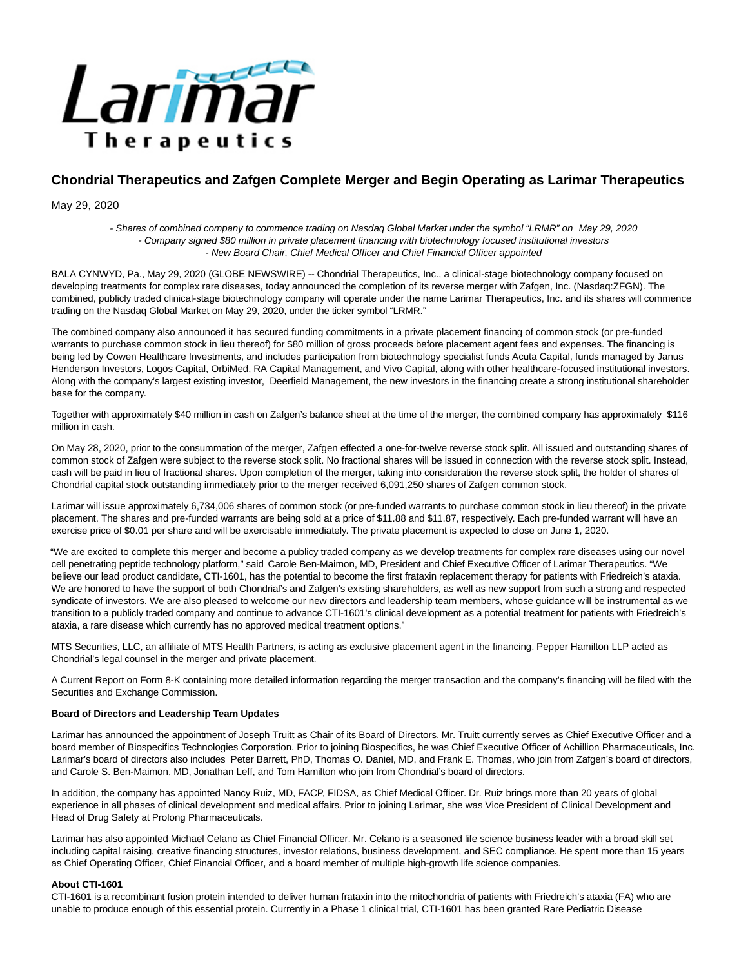

# **Chondrial Therapeutics and Zafgen Complete Merger and Begin Operating as Larimar Therapeutics**

May 29, 2020

- Shares of combined company to commence trading on Nasdaq Global Market under the symbol "LRMR" on May 29, 2020 - Company signed \$80 million in private placement financing with biotechnology focused institutional investors - New Board Chair, Chief Medical Officer and Chief Financial Officer appointed

BALA CYNWYD, Pa., May 29, 2020 (GLOBE NEWSWIRE) -- Chondrial Therapeutics, Inc., a clinical-stage biotechnology company focused on developing treatments for complex rare diseases, today announced the completion of its reverse merger with Zafgen, Inc. (Nasdaq:ZFGN). The combined, publicly traded clinical-stage biotechnology company will operate under the name Larimar Therapeutics, Inc. and its shares will commence trading on the Nasdaq Global Market on May 29, 2020, under the ticker symbol "LRMR."

The combined company also announced it has secured funding commitments in a private placement financing of common stock (or pre-funded warrants to purchase common stock in lieu thereof) for \$80 million of gross proceeds before placement agent fees and expenses. The financing is being led by Cowen Healthcare Investments, and includes participation from biotechnology specialist funds Acuta Capital, funds managed by Janus Henderson Investors, Logos Capital, OrbiMed, RA Capital Management, and Vivo Capital, along with other healthcare-focused institutional investors. Along with the company's largest existing investor, Deerfield Management, the new investors in the financing create a strong institutional shareholder base for the company.

Together with approximately \$40 million in cash on Zafgen's balance sheet at the time of the merger, the combined company has approximately \$116 million in cash.

On May 28, 2020, prior to the consummation of the merger, Zafgen effected a one-for-twelve reverse stock split. All issued and outstanding shares of common stock of Zafgen were subject to the reverse stock split. No fractional shares will be issued in connection with the reverse stock split. Instead, cash will be paid in lieu of fractional shares. Upon completion of the merger, taking into consideration the reverse stock split, the holder of shares of Chondrial capital stock outstanding immediately prior to the merger received 6,091,250 shares of Zafgen common stock.

Larimar will issue approximately 6,734,006 shares of common stock (or pre-funded warrants to purchase common stock in lieu thereof) in the private placement. The shares and pre-funded warrants are being sold at a price of \$11.88 and \$11.87, respectively. Each pre-funded warrant will have an exercise price of \$0.01 per share and will be exercisable immediately. The private placement is expected to close on June 1, 2020.

"We are excited to complete this merger and become a publicy traded company as we develop treatments for complex rare diseases using our novel cell penetrating peptide technology platform," said Carole Ben-Maimon, MD, President and Chief Executive Officer of Larimar Therapeutics. "We believe our lead product candidate, CTI-1601, has the potential to become the first frataxin replacement therapy for patients with Friedreich's ataxia. We are honored to have the support of both Chondrial's and Zafgen's existing shareholders, as well as new support from such a strong and respected syndicate of investors. We are also pleased to welcome our new directors and leadership team members, whose guidance will be instrumental as we transition to a publicly traded company and continue to advance CTI-1601's clinical development as a potential treatment for patients with Friedreich's ataxia, a rare disease which currently has no approved medical treatment options."

MTS Securities, LLC, an affiliate of MTS Health Partners, is acting as exclusive placement agent in the financing. Pepper Hamilton LLP acted as Chondrial's legal counsel in the merger and private placement.

A Current Report on Form 8-K containing more detailed information regarding the merger transaction and the company's financing will be filed with the Securities and Exchange Commission.

# **Board of Directors and Leadership Team Updates**

Larimar has announced the appointment of Joseph Truitt as Chair of its Board of Directors. Mr. Truitt currently serves as Chief Executive Officer and a board member of Biospecifics Technologies Corporation. Prior to joining Biospecifics, he was Chief Executive Officer of Achillion Pharmaceuticals, Inc. Larimar's board of directors also includes Peter Barrett, PhD, Thomas O. Daniel, MD, and Frank E. Thomas, who join from Zafgen's board of directors, and Carole S. Ben-Maimon, MD, Jonathan Leff, and Tom Hamilton who join from Chondrial's board of directors.

In addition, the company has appointed Nancy Ruiz, MD, FACP, FIDSA, as Chief Medical Officer. Dr. Ruiz brings more than 20 years of global experience in all phases of clinical development and medical affairs. Prior to joining Larimar, she was Vice President of Clinical Development and Head of Drug Safety at Prolong Pharmaceuticals.

Larimar has also appointed Michael Celano as Chief Financial Officer. Mr. Celano is a seasoned life science business leader with a broad skill set including capital raising, creative financing structures, investor relations, business development, and SEC compliance. He spent more than 15 years as Chief Operating Officer, Chief Financial Officer, and a board member of multiple high-growth life science companies.

### **About CTI-1601**

CTI-1601 is a recombinant fusion protein intended to deliver human frataxin into the mitochondria of patients with Friedreich's ataxia (FA) who are unable to produce enough of this essential protein. Currently in a Phase 1 clinical trial, CTI-1601 has been granted Rare Pediatric Disease